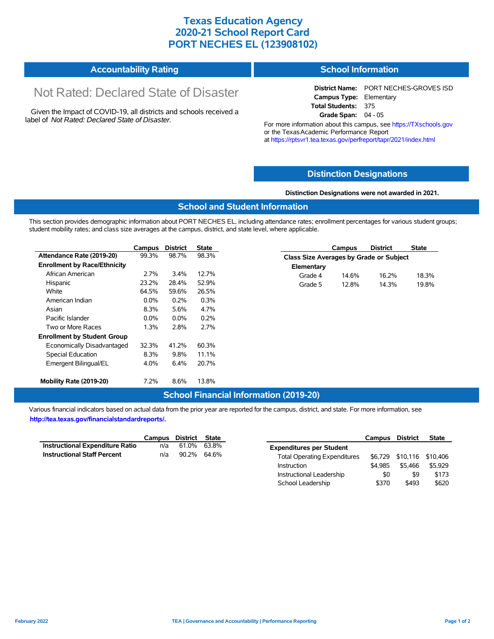## **Texas Education Agency 2020-21 School Report Card PORT NECHES EL (123908102)**

#### **Accountability Rating School Information**

# Not Rated: Declared State of Disaster

Given the Impact of COVID-19, all districts and schools received a label of *Not Rated: Declared State of Disaster.*

**District Name:** PORT NECHES-GROVES ISD **Campus Type:** Elementary **Total Students:** 375 **Grade Span:** 04 - 05

For more information about this campus, see https://TXschools.gov or the TexasAcademic Performance Report at https://rptsvr1.tea.texas.gov/perfreport/tapr/2021/index.html

### **Distinction Designations**

#### **Distinction Designations were not awarded in 2021.**

### **School and Student Information**

This section provides demographic information about PORT NECHES EL, including attendance rates; enrollment percentages for various student groups; student mobility rates; and class size averages at the campus, district, and state level, where applicable.

|                                     | Campus  | <b>District</b> | <b>State</b> |            | Campus                                  | <b>District</b> | <b>State</b> |  |  |  |
|-------------------------------------|---------|-----------------|--------------|------------|-----------------------------------------|-----------------|--------------|--|--|--|
| Attendance Rate (2019-20)           | 99.3%   | 98.7%           | 98.3%        |            | Class Size Averages by Grade or Subject |                 |              |  |  |  |
| <b>Enrollment by Race/Ethnicity</b> |         |                 |              | Elementary |                                         |                 |              |  |  |  |
| African American                    | 2.7%    | 3.4%            | 12.7%        | Grade 4    | 14.6%                                   | 16.2%           | 18.3%        |  |  |  |
| Hispanic                            | 23.2%   | 28.4%           | 52.9%        | Grade 5    | 12.8%                                   | 14.3%           | 19.8%        |  |  |  |
| White                               | 64.5%   | 59.6%           | 26.5%        |            |                                         |                 |              |  |  |  |
| American Indian                     | $0.0\%$ | 0.2%            | 0.3%         |            |                                         |                 |              |  |  |  |
| Asian                               | 8.3%    | 5.6%            | 4.7%         |            |                                         |                 |              |  |  |  |
| Pacific Islander                    | $0.0\%$ | $0.0\%$         | 0.2%         |            |                                         |                 |              |  |  |  |
| Two or More Races                   | 1.3%    | 2.8%            | 2.7%         |            |                                         |                 |              |  |  |  |
| <b>Enrollment by Student Group</b>  |         |                 |              |            |                                         |                 |              |  |  |  |
| Economically Disadvantaged          | 32.3%   | 41.2%           | 60.3%        |            |                                         |                 |              |  |  |  |
| Special Education                   | 8.3%    | 9.8%            | 11.1%        |            |                                         |                 |              |  |  |  |
| Emergent Bilingual/EL               | 4.0%    | 6.4%            | 20.7%        |            |                                         |                 |              |  |  |  |
| Mobility Rate (2019-20)             | 7.2%    | 8.6%            | 13.8%        |            |                                         |                 |              |  |  |  |

### **School Financial Information (2019-20)**

Various financial indicators based on actual data from the prior year are reported for the campus, district, and state. For more information, see **http://tea.texas.gov/financialstandardreports/.**

|                                        | Campus District State |             |  |
|----------------------------------------|-----------------------|-------------|--|
| <b>Instructional Expenditure Ratio</b> | n/a                   | 61.0% 63.8% |  |
| <b>Instructional Staff Percent</b>     | n/a                   | 90.2% 64.6% |  |

|                                     | <b>Campus</b> | District | <b>State</b> |
|-------------------------------------|---------------|----------|--------------|
| <b>Expenditures per Student</b>     |               |          |              |
| <b>Total Operating Expenditures</b> | \$6.729       | \$10,116 | \$10,406     |
| Instruction                         | \$4.985       | \$5.466  | \$5.929      |
| Instructional Leadership            | \$0           | \$9      | \$173        |
| School Leadership                   | \$370         | \$493    | \$620        |